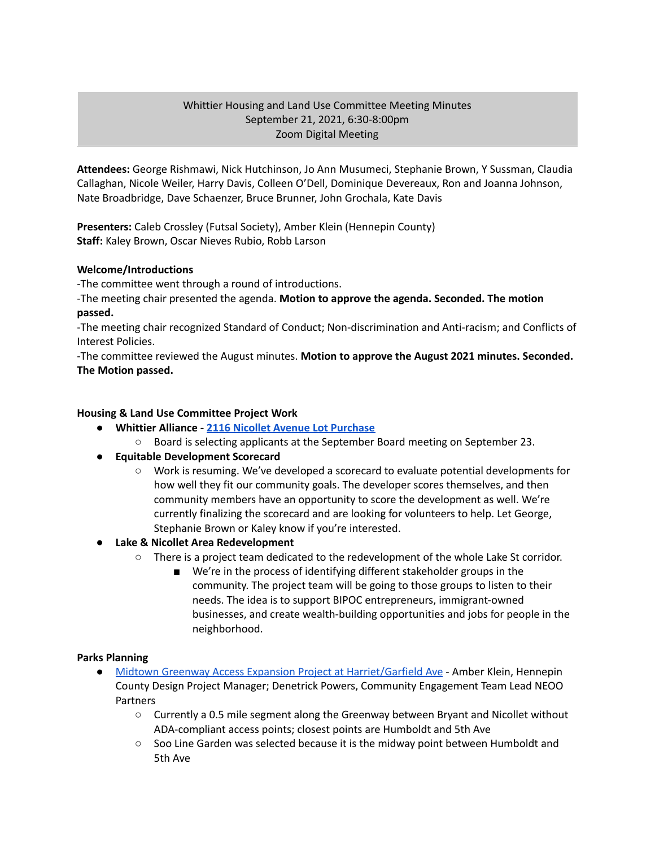# Whittier Housing and Land Use Committee Meeting Minutes September 21, 2021, 6:30-8:00pm Zoom Digital Meeting

**Attendees:** George Rishmawi, Nick Hutchinson, Jo Ann Musumeci, Stephanie Brown, Y Sussman, Claudia Callaghan, Nicole Weiler, Harry Davis, Colleen O'Dell, Dominique Devereaux, Ron and Joanna Johnson, Nate Broadbridge, Dave Schaenzer, Bruce Brunner, John Grochala, Kate Davis

**Presenters:** Caleb Crossley (Futsal Society), Amber Klein (Hennepin County) **Staff:** Kaley Brown, Oscar Nieves Rubio, Robb Larson

### **Welcome/Introductions**

-The committee went through a round of introductions.

-The meeting chair presented the agenda. **Motion to approve the agenda. Seconded. The motion passed.**

-The meeting chair recognized Standard of Conduct; Non-discrimination and Anti-racism; and Conflicts of Interest Policies.

-The committee reviewed the August minutes. **Motion to approve the August 2021 minutes. Seconded. The Motion passed.**

# **Housing & Land Use Committee Project Work**

- **● Whittier Alliance - 2116 Nicollet Avenue Lot [Purchase](https://www.whittieralliance.org/2116-nicollet-ave-vacant-lot.html)**
	- Board is selecting applicants at the September Board meeting on September 23.
- **● Equitable Development Scorecard**
	- Work is resuming. We've developed a scorecard to evaluate potential developments for how well they fit our community goals. The developer scores themselves, and then community members have an opportunity to score the development as well. We're currently finalizing the scorecard and are looking for volunteers to help. Let George, Stephanie Brown or Kaley know if you're interested.
- **● Lake & Nicollet Area Redevelopment**
	- There is a project team dedicated to the redevelopment of the whole Lake St corridor.
		- We're in the process of identifying different stakeholder groups in the community. The project team will be going to those groups to listen to their needs. The idea is to support BIPOC entrepreneurs, immigrant-owned businesses, and create wealth-building opportunities and jobs for people in the neighborhood.

### **Parks Planning**

- Midtown Greenway Access Expansion Project at [Harriet/Garfield](https://www.hennepin.us/midtown-greenway-access) Ave Amber Klein, Hennepin County Design Project Manager; Denetrick Powers, Community Engagement Team Lead NEOO **Partners** 
	- **○** Currently a 0.5 mile segment along the Greenway between Bryant and Nicollet without ADA-compliant access points; closest points are Humboldt and 5th Ave
	- Soo Line Garden was selected because it is the midway point between Humboldt and 5th Ave